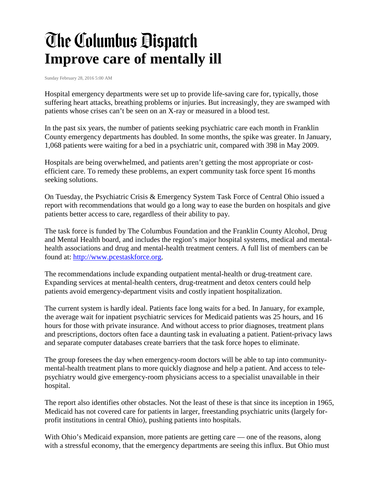## **The Columbus Dispatch Improve care of mentally ill**

Sunday February 28, 2016 5:00 AM

Hospital emergency departments were set up to provide life-saving care for, typically, those suffering heart attacks, breathing problems or injuries. But increasingly, they are swamped with patients whose crises can't be seen on an X-ray or measured in a blood test.

In the past six years, the number of patients seeking psychiatric care each month in Franklin County emergency departments has doubled. In some months, the spike was greater. In January, 1,068 patients were waiting for a bed in a psychiatric unit, compared with 398 in May 2009.

Hospitals are being overwhelmed, and patients aren't getting the most appropriate or costefficient care. To remedy these problems, an expert community task force spent 16 months seeking solutions.

On Tuesday, the Psychiatric Crisis & Emergency System Task Force of Central Ohio issued a report with recommendations that would go a long way to ease the burden on hospitals and give patients better access to care, regardless of their ability to pay.

The task force is funded by The Columbus Foundation and the Franklin County Alcohol, Drug and Mental Health board, and includes the region's major hospital systems, medical and mentalhealth associations and drug and mental-health treatment centers. A full list of members can be found at: [http://www.pcestaskforce.org.](http://www.pcestaskforce.org/)

The recommendations include expanding outpatient mental-health or drug-treatment care. Expanding services at mental-health centers, drug-treatment and detox centers could help patients avoid emergency-department visits and costly inpatient hospitalization.

The current system is hardly ideal. Patients face long waits for a bed. In January, for example, the average wait for inpatient psychiatric services for Medicaid patients was 25 hours, and 16 hours for those with private insurance. And without access to prior diagnoses, treatment plans and prescriptions, doctors often face a daunting task in evaluating a patient. Patient-privacy laws and separate computer databases create barriers that the task force hopes to eliminate.

The group foresees the day when emergency-room doctors will be able to tap into communitymental-health treatment plans to more quickly diagnose and help a patient. And access to telepsychiatry would give emergency-room physicians access to a specialist unavailable in their hospital.

The report also identifies other obstacles. Not the least of these is that since its inception in 1965, Medicaid has not covered care for patients in larger, freestanding psychiatric units (largely forprofit institutions in central Ohio), pushing patients into hospitals.

With Ohio's Medicaid expansion, more patients are getting care — one of the reasons, along with a stressful economy, that the emergency departments are seeing this influx. But Ohio must